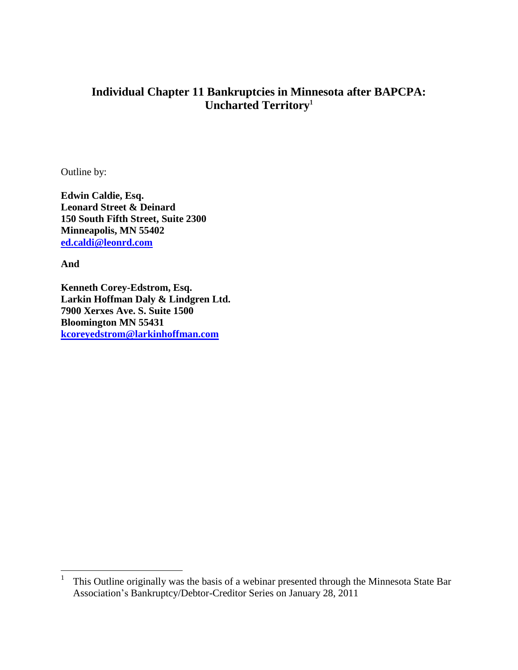# **Individual Chapter 11 Bankruptcies in Minnesota after BAPCPA: Uncharted Territory<sup>1</sup>**

Outline by:

**Edwin Caldie, Esq. Leonard Street & Deinard 150 South Fifth Street, Suite 2300 Minneapolis, MN 55402 [ed.caldi@leonrd.com](mailto:ed.caldi@leonrd.com)**

**And**

 $\overline{a}$ 

**Kenneth Corey-Edstrom, Esq. Larkin Hoffman Daly & Lindgren Ltd. 7900 Xerxes Ave. S. Suite 1500 Bloomington MN 55431 [kcoreyedstrom@larkinhoffman.com](mailto:kcoreyedstrom@larkinhoffman.com)**

<sup>1</sup> This Outline originally was the basis of a webinar presented through the Minnesota State Bar Association's Bankruptcy/Debtor-Creditor Series on January 28, 2011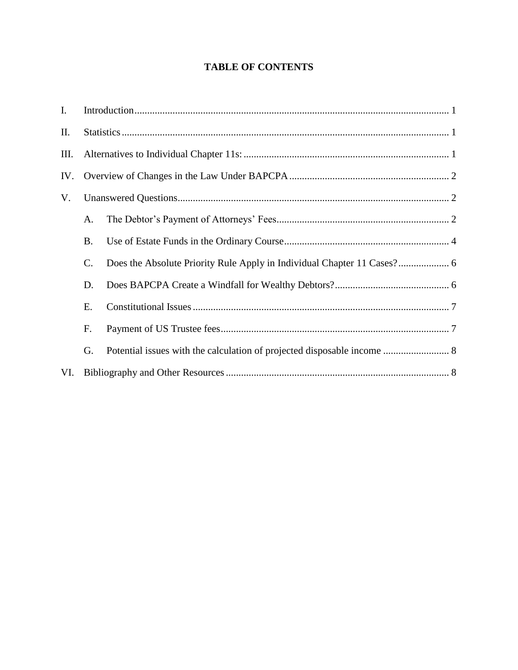# **TABLE OF CONTENTS**

| $I_{\cdot}$ |           |                                                                         |  |
|-------------|-----------|-------------------------------------------------------------------------|--|
| П.          |           |                                                                         |  |
| Ш.          |           |                                                                         |  |
| IV.         |           |                                                                         |  |
| V.          |           |                                                                         |  |
|             | A.        |                                                                         |  |
|             | <b>B.</b> |                                                                         |  |
|             | C.        |                                                                         |  |
|             | D.        |                                                                         |  |
|             | Ε.        |                                                                         |  |
|             | F.        |                                                                         |  |
|             | G.        | Potential issues with the calculation of projected disposable income  8 |  |
| VI.         |           |                                                                         |  |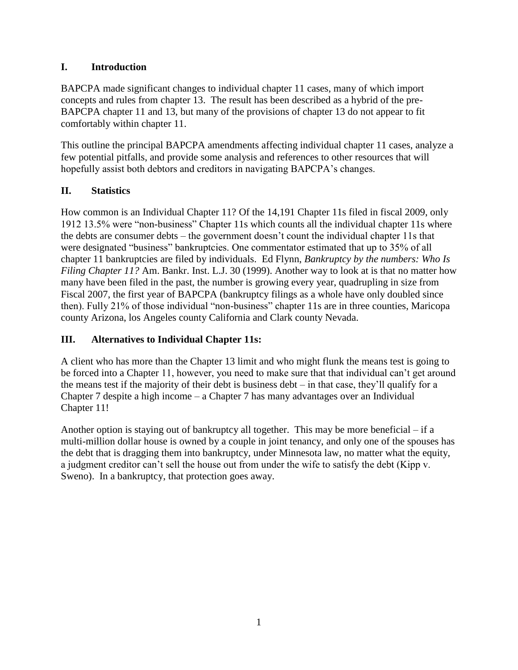## **I. Introduction**

BAPCPA made significant changes to individual chapter 11 cases, many of which import concepts and rules from chapter 13. The result has been described as a hybrid of the pre-BAPCPA chapter 11 and 13, but many of the provisions of chapter 13 do not appear to fit comfortably within chapter 11.

This outline the principal BAPCPA amendments affecting individual chapter 11 cases, analyze a few potential pitfalls, and provide some analysis and references to other resources that will hopefully assist both debtors and creditors in navigating BAPCPA's changes.

## **II. Statistics**

How common is an Individual Chapter 11? Of the 14,191 Chapter 11s filed in fiscal 2009, only 1912 13.5% were "non-business" Chapter 11s which counts all the individual chapter 11s where the debts are consumer debts – the government doesn't count the individual chapter 11s that were designated "business" bankruptcies. One commentator estimated that up to 35% of all chapter 11 bankruptcies are filed by individuals. Ed Flynn, *Bankruptcy by the numbers: Who Is Filing Chapter 11?* Am. Bankr. Inst. L.J. 30 (1999). Another way to look at is that no matter how many have been filed in the past, the number is growing every year, quadrupling in size from Fiscal 2007, the first year of BAPCPA (bankruptcy filings as a whole have only doubled since then). Fully 21% of those individual "non-business" chapter 11s are in three counties, Maricopa county Arizona, los Angeles county California and Clark county Nevada.

### **III. Alternatives to Individual Chapter 11s:**

A client who has more than the Chapter 13 limit and who might flunk the means test is going to be forced into a Chapter 11, however, you need to make sure that that individual can't get around the means test if the majority of their debt is business debt – in that case, they'll qualify for a Chapter 7 despite a high income – a Chapter 7 has many advantages over an Individual Chapter 11!

Another option is staying out of bankruptcy all together. This may be more beneficial – if a multi-million dollar house is owned by a couple in joint tenancy, and only one of the spouses has the debt that is dragging them into bankruptcy, under Minnesota law, no matter what the equity, a judgment creditor can't sell the house out from under the wife to satisfy the debt (Kipp v. Sweno). In a bankruptcy, that protection goes away.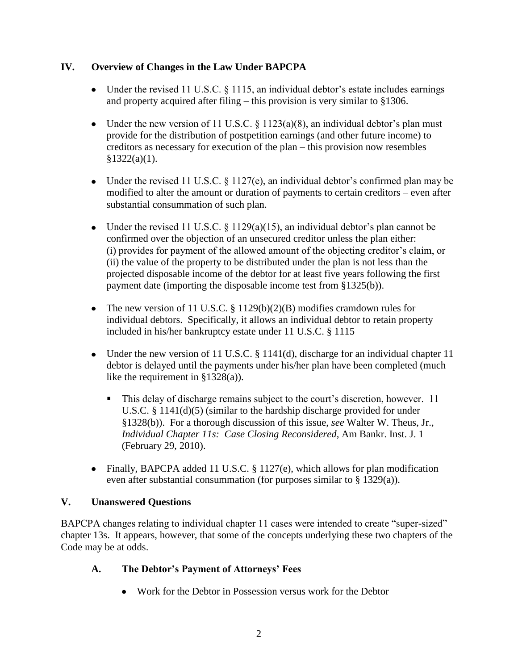### **IV. Overview of Changes in the Law Under BAPCPA**

- Under the revised 11 U.S.C. § 1115, an individual debtor's estate includes earnings and property acquired after filing – this provision is very similar to §1306.
- Under the new version of 11 U.S.C.  $\S$  1123(a)(8), an individual debtor's plan must provide for the distribution of postpetition earnings (and other future income) to creditors as necessary for execution of the plan – this provision now resembles  $§1322(a)(1).$
- Under the revised 11 U.S.C. § 1127(e), an individual debtor's confirmed plan may be modified to alter the amount or duration of payments to certain creditors – even after substantial consummation of such plan.
- Under the revised 11 U.S.C.  $\S$  1129(a)(15), an individual debtor's plan cannot be confirmed over the objection of an unsecured creditor unless the plan either: (i) provides for payment of the allowed amount of the objecting creditor's claim, or (ii) the value of the property to be distributed under the plan is not less than the projected disposable income of the debtor for at least five years following the first payment date (importing the disposable income test from §1325(b)).
- The new version of 11 U.S.C.  $\S 1129(b)(2)(B)$  modifies cramdown rules for individual debtors. Specifically, it allows an individual debtor to retain property included in his/her bankruptcy estate under 11 U.S.C. § 1115
- Under the new version of 11 U.S.C. § 1141(d), discharge for an individual chapter 11 debtor is delayed until the payments under his/her plan have been completed (much like the requirement in §1328(a)).
	- This delay of discharge remains subject to the court's discretion, however. 11 U.S.C. § 1141(d)(5) (similar to the hardship discharge provided for under §1328(b)). For a thorough discussion of this issue, *see* Walter W. Theus, Jr., *Individual Chapter 11s: Case Closing Reconsidered*, Am Bankr. Inst. J. 1 (February 29, 2010).
- Finally, BAPCPA added 11 U.S.C. § 1127(e), which allows for plan modification even after substantial consummation (for purposes similar to § 1329(a)).

# **V. Unanswered Questions**

BAPCPA changes relating to individual chapter 11 cases were intended to create "super-sized" chapter 13s. It appears, however, that some of the concepts underlying these two chapters of the Code may be at odds.

# **A. The Debtor's Payment of Attorneys' Fees**

• Work for the Debtor in Possession versus work for the Debtor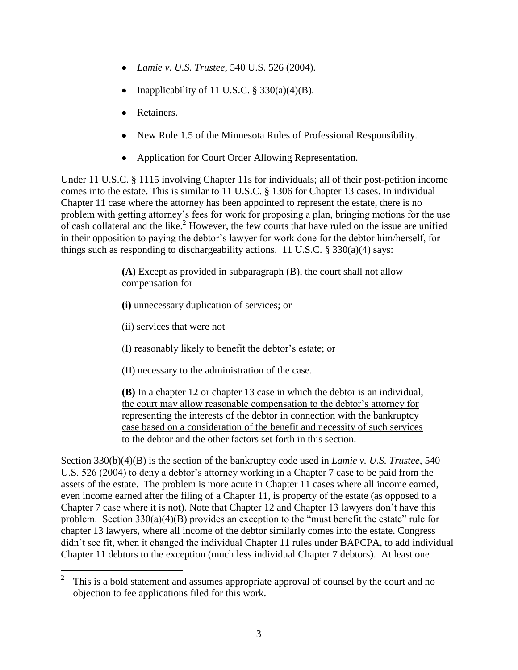- *Lamie v. U.S. Trustee*, 540 U.S. 526 (2004).
- Inapplicability of 11 U.S.C.  $\S$  330(a)(4)(B).
- Retainers.
- New Rule 1.5 of the Minnesota Rules of Professional Responsibility.
- Application for Court Order Allowing Representation.

Under 11 U.S.C. § 1115 involving Chapter 11s for individuals; all of their post-petition income comes into the estate. This is similar to 11 U.S.C. § 1306 for Chapter 13 cases. In individual Chapter 11 case where the attorney has been appointed to represent the estate, there is no problem with getting attorney's fees for work for proposing a plan, bringing motions for the use of cash collateral and the like.<sup>2</sup> However, the few courts that have ruled on the issue are unified in their opposition to paying the debtor's lawyer for work done for the debtor him/herself, for things such as responding to dischargeability actions. 11 U.S.C.  $\S 330(a)(4)$  says:

> **(A)** Except as provided in subparagraph (B), the court shall not allow compensation for—

**(i)** unnecessary duplication of services; or

(ii) services that were not—

 $\overline{a}$ 

- (I) reasonably likely to benefit the debtor's estate; or
- (II) necessary to the administration of the case.

**(B)** In a chapter 12 or chapter 13 case in which the debtor is an individual, the court may allow reasonable compensation to the debtor's attorney for representing the interests of the debtor in connection with the bankruptcy case based on a consideration of the benefit and necessity of such services to the debtor and the other factors set forth in this section.

Section 330(b)(4)(B) is the section of the bankruptcy code used in *Lamie v. U.S. Trustee*, 540 U.S. 526 (2004) to deny a debtor's attorney working in a Chapter 7 case to be paid from the assets of the estate. The problem is more acute in Chapter 11 cases where all income earned, even income earned after the filing of a Chapter 11, is property of the estate (as opposed to a Chapter 7 case where it is not). Note that Chapter 12 and Chapter 13 lawyers don't have this problem. Section  $330(a)(4)(B)$  provides an exception to the "must benefit the estate" rule for chapter 13 lawyers, where all income of the debtor similarly comes into the estate. Congress didn't see fit, when it changed the individual Chapter 11 rules under BAPCPA, to add individual Chapter 11 debtors to the exception (much less individual Chapter 7 debtors). At least one

 $\mathfrak{D}$ This is a bold statement and assumes appropriate approval of counsel by the court and no objection to fee applications filed for this work.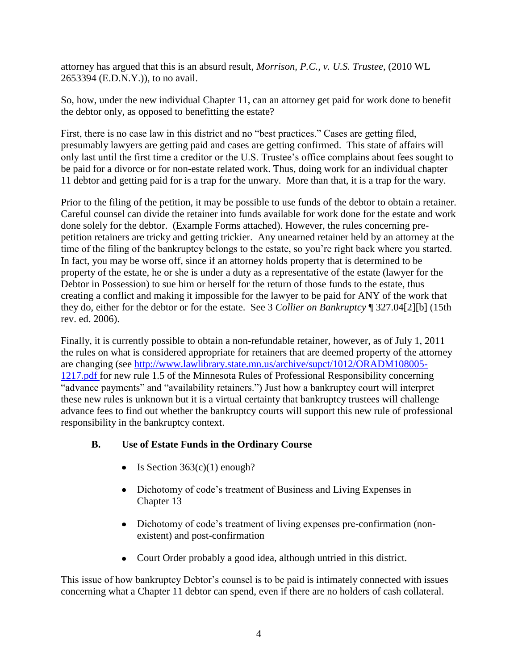attorney has argued that this is an absurd result, *Morrison, P.C., v. U.S. Trustee*, (2010 WL 2653394 (E.D.N.Y.)), to no avail.

So, how, under the new individual Chapter 11, can an attorney get paid for work done to benefit the debtor only, as opposed to benefitting the estate?

First, there is no case law in this district and no "best practices." Cases are getting filed, presumably lawyers are getting paid and cases are getting confirmed. This state of affairs will only last until the first time a creditor or the U.S. Trustee's office complains about fees sought to be paid for a divorce or for non-estate related work. Thus, doing work for an individual chapter 11 debtor and getting paid for is a trap for the unwary. More than that, it is a trap for the wary.

Prior to the filing of the petition, it may be possible to use funds of the debtor to obtain a retainer. Careful counsel can divide the retainer into funds available for work done for the estate and work done solely for the debtor. (Example Forms attached). However, the rules concerning prepetition retainers are tricky and getting trickier. Any unearned retainer held by an attorney at the time of the filing of the bankruptcy belongs to the estate, so you're right back where you started. In fact, you may be worse off, since if an attorney holds property that is determined to be property of the estate, he or she is under a duty as a representative of the estate (lawyer for the Debtor in Possession) to sue him or herself for the return of those funds to the estate, thus creating a conflict and making it impossible for the lawyer to be paid for ANY of the work that they do, either for the debtor or for the estate. See 3 *Collier on Bankruptcy* ¶ 327.04[2][b] (15th rev. ed. 2006).

Finally, it is currently possible to obtain a non-refundable retainer, however, as of July 1, 2011 the rules on what is considered appropriate for retainers that are deemed property of the attorney are changing (see [http://www.lawlibrary.state.mn.us/archive/supct/1012/ORADM108005-](http://www.lawlibrary.state.mn.us/archive/supct/1012/ORADM108005-1217.pdf%20for%20new%20rule%201.5) [1217.pdf for new rule 1.5](http://www.lawlibrary.state.mn.us/archive/supct/1012/ORADM108005-1217.pdf%20for%20new%20rule%201.5) of the Minnesota Rules of Professional Responsibility concerning "advance payments" and "availability retainers.") Just how a bankruptcy court will interpret these new rules is unknown but it is a virtual certainty that bankruptcy trustees will challenge advance fees to find out whether the bankruptcy courts will support this new rule of professional responsibility in the bankruptcy context.

# **B. Use of Estate Funds in the Ordinary Course**

- $\bullet$  Is Section 363(c)(1) enough?
- Dichotomy of code's treatment of Business and Living Expenses in Chapter 13
- Dichotomy of code's treatment of living expenses pre-confirmation (nonexistent) and post-confirmation
- Court Order probably a good idea, although untried in this district.

This issue of how bankruptcy Debtor's counsel is to be paid is intimately connected with issues concerning what a Chapter 11 debtor can spend, even if there are no holders of cash collateral.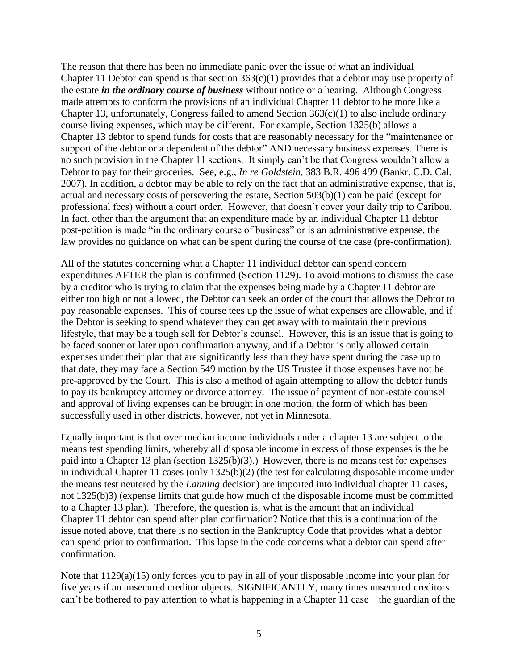The reason that there has been no immediate panic over the issue of what an individual Chapter 11 Debtor can spend is that section  $363(c)(1)$  provides that a debtor may use property of the estate *in the ordinary course of business* without notice or a hearing. Although Congress made attempts to conform the provisions of an individual Chapter 11 debtor to be more like a Chapter 13, unfortunately, Congress failed to amend Section  $363(c)(1)$  to also include ordinary course living expenses, which may be different. For example, Section 1325(b) allows a Chapter 13 debtor to spend funds for costs that are reasonably necessary for the "maintenance or support of the debtor or a dependent of the debtor" AND necessary business expenses. There is no such provision in the Chapter 11 sections. It simply can't be that Congress wouldn't allow a Debtor to pay for their groceries. See, e.g., *In re Goldstein*, 383 B.R. 496 499 (Bankr. C.D. Cal. 2007). In addition, a debtor may be able to rely on the fact that an administrative expense, that is, actual and necessary costs of persevering the estate, Section 503(b)(1) can be paid (except for professional fees) without a court order. However, that doesn't cover your daily trip to Caribou. In fact, other than the argument that an expenditure made by an individual Chapter 11 debtor post-petition is made "in the ordinary course of business" or is an administrative expense, the law provides no guidance on what can be spent during the course of the case (pre-confirmation).

All of the statutes concerning what a Chapter 11 individual debtor can spend concern expenditures AFTER the plan is confirmed (Section 1129). To avoid motions to dismiss the case by a creditor who is trying to claim that the expenses being made by a Chapter 11 debtor are either too high or not allowed, the Debtor can seek an order of the court that allows the Debtor to pay reasonable expenses. This of course tees up the issue of what expenses are allowable, and if the Debtor is seeking to spend whatever they can get away with to maintain their previous lifestyle, that may be a tough sell for Debtor's counsel. However, this is an issue that is going to be faced sooner or later upon confirmation anyway, and if a Debtor is only allowed certain expenses under their plan that are significantly less than they have spent during the case up to that date, they may face a Section 549 motion by the US Trustee if those expenses have not be pre-approved by the Court. This is also a method of again attempting to allow the debtor funds to pay its bankruptcy attorney or divorce attorney. The issue of payment of non-estate counsel and approval of living expenses can be brought in one motion, the form of which has been successfully used in other districts, however, not yet in Minnesota.

Equally important is that over median income individuals under a chapter 13 are subject to the means test spending limits, whereby all disposable income in excess of those expenses is the be paid into a Chapter 13 plan (section 1325(b)(3).) However, there is no means test for expenses in individual Chapter 11 cases (only 1325(b)(2) (the test for calculating disposable income under the means test neutered by the *Lanning* decision) are imported into individual chapter 11 cases, not 1325(b)3) (expense limits that guide how much of the disposable income must be committed to a Chapter 13 plan). Therefore, the question is, what is the amount that an individual Chapter 11 debtor can spend after plan confirmation? Notice that this is a continuation of the issue noted above, that there is no section in the Bankruptcy Code that provides what a debtor can spend prior to confirmation. This lapse in the code concerns what a debtor can spend after confirmation.

Note that 1129(a)(15) only forces you to pay in all of your disposable income into your plan for five years if an unsecured creditor objects. SIGNIFICANTLY, many times unsecured creditors can't be bothered to pay attention to what is happening in a Chapter 11 case – the guardian of the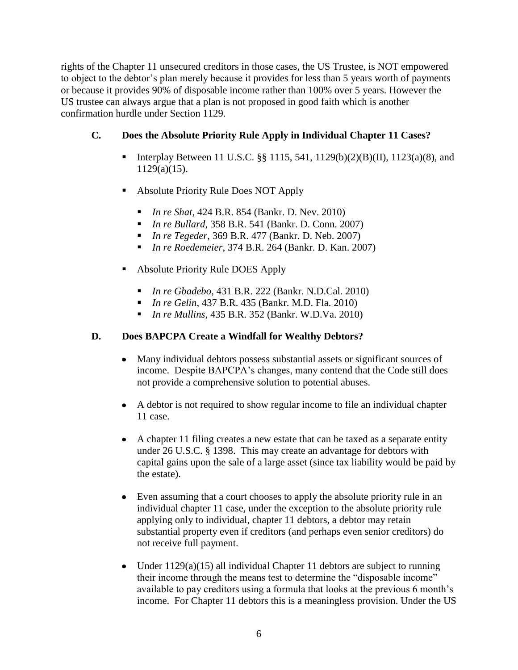rights of the Chapter 11 unsecured creditors in those cases, the US Trustee, is NOT empowered to object to the debtor's plan merely because it provides for less than 5 years worth of payments or because it provides 90% of disposable income rather than 100% over 5 years. However the US trustee can always argue that a plan is not proposed in good faith which is another confirmation hurdle under Section 1129.

## **C. Does the Absolute Priority Rule Apply in Individual Chapter 11 Cases?**

- Interplay Between 11 U.S.C. §§ 1115, 541, 1129(b)(2)(B)(II), 1123(a)(8), and  $1129(a)(15)$ .
- Absolute Priority Rule Does NOT Apply
	- *In re Shat*, 424 B.R. 854 (Bankr. D. Nev. 2010)
	- *In re Bullard*, 358 B.R. 541 (Bankr. D. Conn. 2007)
	- *In re Tegeder*, 369 B.R. 477 (Bankr. D. Neb. 2007)
	- *In re Roedemeier*, 374 B.R. 264 (Bankr. D. Kan. 2007)
- Absolute Priority Rule DOES Apply
	- *In re Gbadebo*, 431 B.R. 222 (Bankr. N.D.Cal. 2010)
	- *In re Gelin*, 437 B.R. 435 (Bankr. M.D. Fla. 2010)
	- *In re Mullins*, 435 B.R. 352 (Bankr. W.D.Va. 2010)

### **D. Does BAPCPA Create a Windfall for Wealthy Debtors?**

- Many individual debtors possess substantial assets or significant sources of income. Despite BAPCPA's changes, many contend that the Code still does not provide a comprehensive solution to potential abuses.
- A debtor is not required to show regular income to file an individual chapter 11 case.
- A chapter 11 filing creates a new estate that can be taxed as a separate entity under 26 U.S.C. § 1398. This may create an advantage for debtors with capital gains upon the sale of a large asset (since tax liability would be paid by the estate).
- Even assuming that a court chooses to apply the absolute priority rule in an individual chapter 11 case, under the exception to the absolute priority rule applying only to individual, chapter 11 debtors, a debtor may retain substantial property even if creditors (and perhaps even senior creditors) do not receive full payment.
- Under  $1129(a)(15)$  all individual Chapter 11 debtors are subject to running their income through the means test to determine the "disposable income" available to pay creditors using a formula that looks at the previous 6 month's income. For Chapter 11 debtors this is a meaningless provision. Under the US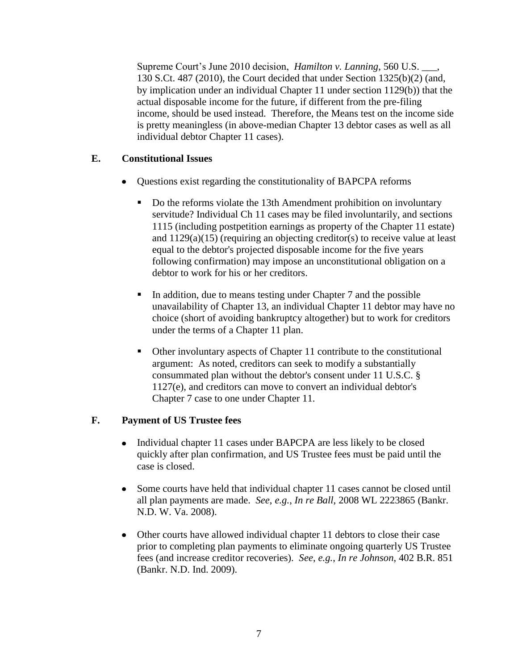Supreme Court's June 2010 decision, *Hamilton v. Lanning*, 560 U.S. \_\_\_, 130 S.Ct. 487 (2010), the Court decided that under Section 1325(b)(2) (and, by implication under an individual Chapter 11 under section 1129(b)) that the actual disposable income for the future, if different from the pre-filing income, should be used instead. Therefore, the Means test on the income side is pretty meaningless (in above-median Chapter 13 debtor cases as well as all individual debtor Chapter 11 cases).

## **E. Constitutional Issues**

- Questions exist regarding the constitutionality of BAPCPA reforms
	- Do the reforms violate the 13th Amendment prohibition on involuntary servitude? Individual Ch 11 cases may be filed involuntarily, and sections 1115 (including postpetition earnings as property of the Chapter 11 estate) and 1129(a)(15) (requiring an objecting creditor(s) to receive value at least equal to the debtor's projected disposable income for the five years following confirmation) may impose an unconstitutional obligation on a debtor to work for his or her creditors.
	- In addition, due to means testing under Chapter 7 and the possible unavailability of Chapter 13, an individual Chapter 11 debtor may have no choice (short of avoiding bankruptcy altogether) but to work for creditors under the terms of a Chapter 11 plan.
	- Other involuntary aspects of Chapter 11 contribute to the constitutional argument: As noted, creditors can seek to modify a substantially consummated plan without the debtor's consent under 11 U.S.C. § 1127(e), and creditors can move to convert an individual debtor's Chapter 7 case to one under Chapter 11.

#### **F. Payment of US Trustee fees**

- Individual chapter 11 cases under BAPCPA are less likely to be closed  $\bullet$ quickly after plan confirmation, and US Trustee fees must be paid until the case is closed.
- $\bullet$ Some courts have held that individual chapter 11 cases cannot be closed until all plan payments are made. *See*, *e.g.*, *In re Ball*, 2008 WL 2223865 (Bankr. N.D. W. Va. 2008).
- Other courts have allowed individual chapter 11 debtors to close their case prior to completing plan payments to eliminate ongoing quarterly US Trustee fees (and increase creditor recoveries). *See*, *e.g.*, *In re Johnson*, 402 B.R. 851 (Bankr. N.D. Ind. 2009).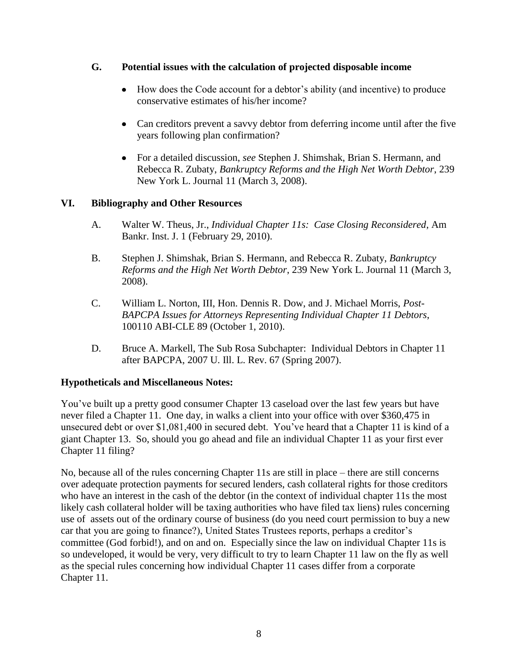#### **G. Potential issues with the calculation of projected disposable income**

- $\bullet$ How does the Code account for a debtor's ability (and incentive) to produce conservative estimates of his/her income?
- Can creditors prevent a savvy debtor from deferring income until after the five years following plan confirmation?
- For a detailed discussion, *see* Stephen J. Shimshak, Brian S. Hermann, and Rebecca R. Zubaty, *Bankruptcy Reforms and the High Net Worth Debtor*, 239 New York L. Journal 11 (March 3, 2008).

#### **VI. Bibliography and Other Resources**

- A. Walter W. Theus, Jr., *Individual Chapter 11s: Case Closing Reconsidered*, Am Bankr. Inst. J. 1 (February 29, 2010).
- B. Stephen J. Shimshak, Brian S. Hermann, and Rebecca R. Zubaty, *Bankruptcy Reforms and the High Net Worth Debtor*, 239 New York L. Journal 11 (March 3, 2008).
- C. William L. Norton, III, Hon. Dennis R. Dow, and J. Michael Morris, *Post-BAPCPA Issues for Attorneys Representing Individual Chapter 11 Debtors*, 100110 ABI-CLE 89 (October 1, 2010).
- D. Bruce A. Markell, The Sub Rosa Subchapter: Individual Debtors in Chapter 11 after BAPCPA, 2007 U. Ill. L. Rev. 67 (Spring 2007).

#### **Hypotheticals and Miscellaneous Notes:**

You've built up a pretty good consumer Chapter 13 caseload over the last few years but have never filed a Chapter 11. One day, in walks a client into your office with over \$360,475 in unsecured debt or over \$1,081,400 in secured debt. You've heard that a Chapter 11 is kind of a giant Chapter 13. So, should you go ahead and file an individual Chapter 11 as your first ever Chapter 11 filing?

No, because all of the rules concerning Chapter 11s are still in place – there are still concerns over adequate protection payments for secured lenders, cash collateral rights for those creditors who have an interest in the cash of the debtor (in the context of individual chapter 11s the most likely cash collateral holder will be taxing authorities who have filed tax liens) rules concerning use of assets out of the ordinary course of business (do you need court permission to buy a new car that you are going to finance?), United States Trustees reports, perhaps a creditor's committee (God forbid!), and on and on. Especially since the law on individual Chapter 11s is so undeveloped, it would be very, very difficult to try to learn Chapter 11 law on the fly as well as the special rules concerning how individual Chapter 11 cases differ from a corporate Chapter 11.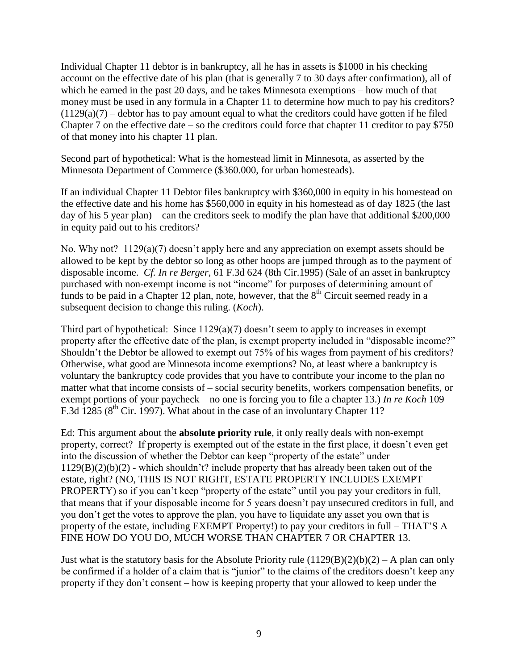Individual Chapter 11 debtor is in bankruptcy, all he has in assets is \$1000 in his checking account on the effective date of his plan (that is generally 7 to 30 days after confirmation), all of which he earned in the past 20 days, and he takes Minnesota exemptions – how much of that money must be used in any formula in a Chapter 11 to determine how much to pay his creditors?  $(1129(a)(7)$  – debtor has to pay amount equal to what the creditors could have gotten if he filed Chapter 7 on the effective date – so the creditors could force that chapter 11 creditor to pay \$750 of that money into his chapter 11 plan.

Second part of hypothetical: What is the homestead limit in Minnesota, as asserted by the Minnesota Department of Commerce (\$360.000, for urban homesteads).

If an individual Chapter 11 Debtor files bankruptcy with \$360,000 in equity in his homestead on the effective date and his home has \$560,000 in equity in his homestead as of day 1825 (the last day of his 5 year plan) – can the creditors seek to modify the plan have that additional \$200,000 in equity paid out to his creditors?

No. Why not? 1129(a)(7) doesn't apply here and any appreciation on exempt assets should be allowed to be kept by the debtor so long as other hoops are jumped through as to the payment of disposable income. *Cf. In re Berger*, 61 F.3d 624 (8th Cir.1995) (Sale of an asset in bankruptcy purchased with non-exempt income is not "income" for purposes of determining amount of funds to be paid in a Chapter 12 plan, note, however, that the  $8<sup>th</sup>$  Circuit seemed ready in a subsequent decision to change this ruling. (*Koch*).

Third part of hypothetical: Since 1129(a)(7) doesn't seem to apply to increases in exempt property after the effective date of the plan, is exempt property included in "disposable income?" Shouldn't the Debtor be allowed to exempt out 75% of his wages from payment of his creditors? Otherwise, what good are Minnesota income exemptions? No, at least where a bankruptcy is voluntary the bankruptcy code provides that you have to contribute your income to the plan no matter what that income consists of – social security benefits, workers compensation benefits, or exempt portions of your paycheck – no one is forcing you to file a chapter 13.) *In re Koch* 109 F.3d 1285 ( $8<sup>th</sup>$  Cir. 1997). What about in the case of an involuntary Chapter 11?

Ed: This argument about the **absolute priority rule**, it only really deals with non-exempt property, correct? If property is exempted out of the estate in the first place, it doesn't even get into the discussion of whether the Debtor can keep "property of the estate" under 1129(B)(2)(b)(2) - which shouldn't? include property that has already been taken out of the estate, right? (NO, THIS IS NOT RIGHT, ESTATE PROPERTY INCLUDES EXEMPT PROPERTY) so if you can't keep "property of the estate" until you pay your creditors in full, that means that if your disposable income for 5 years doesn't pay unsecured creditors in full, and you don't get the votes to approve the plan, you have to liquidate any asset you own that is property of the estate, including EXEMPT Property!) to pay your creditors in full – THAT'S A FINE HOW DO YOU DO, MUCH WORSE THAN CHAPTER 7 OR CHAPTER 13.

Just what is the statutory basis for the Absolute Priority rule  $(1129(B)(2)(b)(2) - A$  plan can only be confirmed if a holder of a claim that is "junior" to the claims of the creditors doesn't keep any property if they don't consent – how is keeping property that your allowed to keep under the